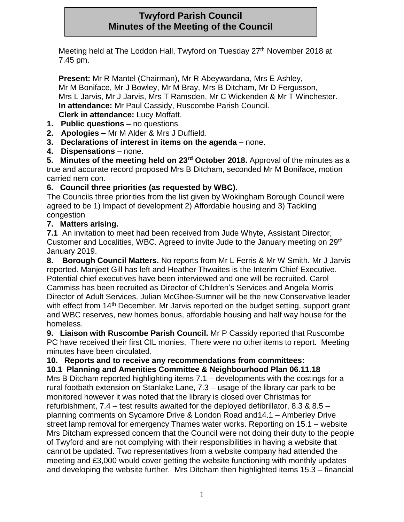# **Twyford Parish Council Minutes of the Meeting of the Council**

Meeting held at The Loddon Hall, Twyford on Tuesday 27<sup>th</sup> November 2018 at 7.45 pm.

**Present:** Mr R Mantel (Chairman), Mr R Abeywardana, Mrs E Ashley, Mr M Boniface, Mr J Bowley, Mr M Bray, Mrs B Ditcham, Mr D Fergusson, Mrs L Jarvis, Mr J Jarvis, Mrs T Ramsden, Mr C Wickenden & Mr T Winchester. **In attendance:** Mr Paul Cassidy, Ruscombe Parish Council. **Clerk in attendance:** Lucy Moffatt.

- **1. Public questions –** no questions.
- **2. Apologies –** Mr M Alder & Mrs J Duffield.
- **3. Declarations of interest in items on the agenda** none.
- **4. Dispensations** none.

**5. Minutes of the meeting held on 23rd October 2018.** Approval of the minutes as a true and accurate record proposed Mrs B Ditcham, seconded Mr M Boniface, motion carried nem con.

## **6. Council three priorities (as requested by WBC).**

The Councils three priorities from the list given by Wokingham Borough Council were agreed to be 1) Impact of development 2) Affordable housing and 3) Tackling congestion

## **7. Matters arising.**

**7.1** An invitation to meet had been received from Jude Whyte, Assistant Director, Customer and Localities, WBC. Agreed to invite Jude to the January meeting on 29<sup>th</sup> January 2019.

**8. Borough Council Matters.** No reports from Mr L Ferris & Mr W Smith. Mr J Jarvis reported. Manjeet Gill has left and Heather Thwaites is the Interim Chief Executive. Potential chief executives have been interviewed and one will be recruited. Carol Cammiss has been recruited as Director of Children's Services and Angela Morris Director of Adult Services. Julian McGhee-Sumner will be the new Conservative leader with effect from 14<sup>th</sup> December. Mr Jarvis reported on the budget setting, support grant and WBC reserves, new homes bonus, affordable housing and half way house for the homeless.

**9. Liaison with Ruscombe Parish Council.** Mr P Cassidy reported that Ruscombe PC have received their first CIL monies. There were no other items to report. Meeting minutes have been circulated.

# **10. Reports and to receive any recommendations from committees:**

**10.1 Planning and Amenities Committee & Neighbourhood Plan 06.11.18**

Mrs B Ditcham reported highlighting items 7.1 – developments with the costings for a rural footbath extension on Stanlake Lane, 7.3 – usage of the library car park to be monitored however it was noted that the library is closed over Christmas for refurbishment, 7.4 – test results awaited for the deployed defibrillator, 8.3 & 8.5 – planning comments on Sycamore Drive & London Road and14.1 – Amberley Drive street lamp removal for emergency Thames water works. Reporting on 15.1 – website Mrs Ditcham expressed concern that the Council were not doing their duty to the people of Twyford and are not complying with their responsibilities in having a website that cannot be updated. Two representatives from a website company had attended the meeting and £3,000 would cover getting the website functioning with monthly updates and developing the website further. Mrs Ditcham then highlighted items 15.3 – financial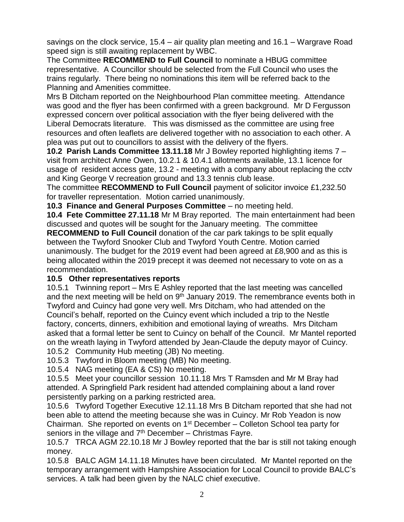savings on the clock service, 15.4 – air quality plan meeting and 16.1 – Wargrave Road speed sign is still awaiting replacement by WBC.

The Committee **RECOMMEND to Full Council** to nominate a HBUG committee representative. A Councillor should be selected from the Full Council who uses the trains regularly. There being no nominations this item will be referred back to the Planning and Amenities committee.

Mrs B Ditcham reported on the Neighbourhood Plan committee meeting. Attendance was good and the flyer has been confirmed with a green background. Mr D Fergusson expressed concern over political association with the flyer being delivered with the Liberal Democrats literature. This was dismissed as the committee are using free resources and often leaflets are delivered together with no association to each other. A plea was put out to councillors to assist with the delivery of the flyers.

**10.2 Parish Lands Committee 13.11.18** Mr J Bowley reported highlighting items 7 – visit from architect Anne Owen, 10.2.1 & 10.4.1 allotments available, 13.1 licence for usage of resident access gate, 13.2 - meeting with a company about replacing the cctv and King George V recreation ground and 13.3 tennis club lease.

The committee **RECOMMEND to Full Council** payment of solicitor invoice £1,232.50 for traveller representation. Motion carried unanimously.

**10.3 Finance and General Purposes Committee** – no meeting held.

**10.4 Fete Committee 27.11.18** Mr M Bray reported. The main entertainment had been discussed and quotes will be sought for the January meeting. The committee

**RECOMMEND to Full Council** donation of the car park takings to be split equally between the Twyford Snooker Club and Twyford Youth Centre. Motion carried unanimously. The budget for the 2019 event had been agreed at £8,900 and as this is being allocated within the 2019 precept it was deemed not necessary to vote on as a recommendation.

### **10.5 Other representatives reports**

10.5.1 Twinning report – Mrs E Ashley reported that the last meeting was cancelled and the next meeting will be held on  $9<sup>th</sup>$  January 2019. The remembrance events both in Twyford and Cuincy had gone very well. Mrs Ditcham, who had attended on the Council's behalf, reported on the Cuincy event which included a trip to the Nestle factory, concerts, dinners, exhibition and emotional laying of wreaths. Mrs Ditcham asked that a formal letter be sent to Cuincy on behalf of the Council. Mr Mantel reported on the wreath laying in Twyford attended by Jean-Claude the deputy mayor of Cuincy.

10.5.2 Community Hub meeting (JB) No meeting.

10.5.3 Twyford in Bloom meeting (MB) No meeting.

10.5.4 NAG meeting (EA & CS) No meeting.

10.5.5 Meet your councillor session 10.11.18 Mrs T Ramsden and Mr M Bray had attended. A Springfield Park resident had attended complaining about a land rover persistently parking on a parking restricted area.

10.5.6 Twyford Together Executive 12.11.18 Mrs B Ditcham reported that she had not been able to attend the meeting because she was in Cuincy. Mr Rob Yeadon is now Chairman. She reported on events on  $1<sup>st</sup>$  December – Colleton School tea party for seniors in the village and  $7<sup>th</sup>$  December – Christmas Fayre.

10.5.7 TRCA AGM 22.10.18 Mr J Bowley reported that the bar is still not taking enough money.

10.5.8 BALC AGM 14.11.18 Minutes have been circulated. Mr Mantel reported on the temporary arrangement with Hampshire Association for Local Council to provide BALC's services. A talk had been given by the NALC chief executive.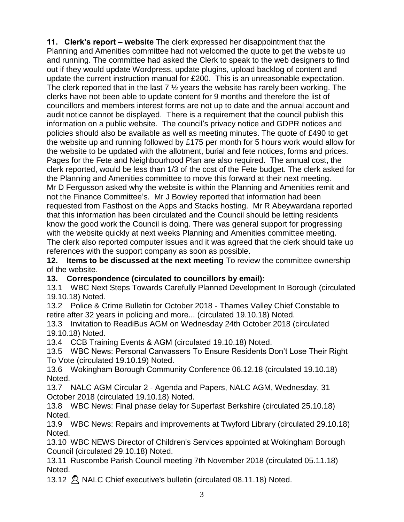**11. Clerk's report – website** The clerk expressed her disappointment that the Planning and Amenities committee had not welcomed the quote to get the website up and running. The committee had asked the Clerk to speak to the web designers to find out if they would update Wordpress, update plugins, upload backlog of content and update the current instruction manual for £200. This is an unreasonable expectation. The clerk reported that in the last  $7 \frac{1}{2}$  years the website has rarely been working. The clerks have not been able to update content for 9 months and therefore the list of councillors and members interest forms are not up to date and the annual account and audit notice cannot be displayed. There is a requirement that the council publish this information on a public website. The council's privacy notice and GDPR notices and policies should also be available as well as meeting minutes. The quote of £490 to get the website up and running followed by £175 per month for 5 hours work would allow for the website to be updated with the allotment, burial and fete notices, forms and prices. Pages for the Fete and Neighbourhood Plan are also required. The annual cost, the clerk reported, would be less than 1/3 of the cost of the Fete budget. The clerk asked for the Planning and Amenities committee to move this forward at their next meeting. Mr D Fergusson asked why the website is within the Planning and Amenities remit and not the Finance Committee's. Mr J Bowley reported that information had been requested from Fasthost on the Apps and Stacks hosting. Mr R Abeywardana reported that this information has been circulated and the Council should be letting residents know the good work the Council is doing. There was general support for progressing with the website quickly at next weeks Planning and Amenities committee meeting. The clerk also reported computer issues and it was agreed that the clerk should take up references with the support company as soon as possible.

**12. Items to be discussed at the next meeting** To review the committee ownership of the website.

**13. Correspondence (circulated to councillors by email):**

13.1 WBC Next Steps Towards Carefully Planned Development In Borough (circulated 19.10.18) Noted.

13.2 Police & Crime Bulletin for October 2018 - Thames Valley Chief Constable to retire after 32 years in policing and more... (circulated 19.10.18) Noted.

13.3 Invitation to ReadiBus AGM on Wednesday 24th October 2018 (circulated 19.10.18) Noted.

13.4 CCB Training Events & AGM (circulated 19.10.18) Noted.

13.5 WBC News: Personal Canvassers To Ensure Residents Don't Lose Their Right To Vote (circulated 19.10.19) Noted.

13.6 Wokingham Borough Community Conference 06.12.18 (circulated 19.10.18) Noted.

13.7 NALC AGM Circular 2 - Agenda and Papers, NALC AGM, Wednesday, 31 October 2018 (circulated 19.10.18) Noted.

13.8 WBC News: Final phase delay for Superfast Berkshire (circulated 25.10.18) Noted.

13.9 WBC News: Repairs and improvements at Twyford Library (circulated 29.10.18) Noted.

13.10 WBC NEWS Director of Children's Services appointed at Wokingham Borough Council (circulated 29.10.18) Noted.

13.11 Ruscombe Parish Council meeting 7th November 2018 (circulated 05.11.18) Noted.

13.12 <sup>2</sup> NALC Chief executive's bulletin (circulated 08.11.18) Noted.